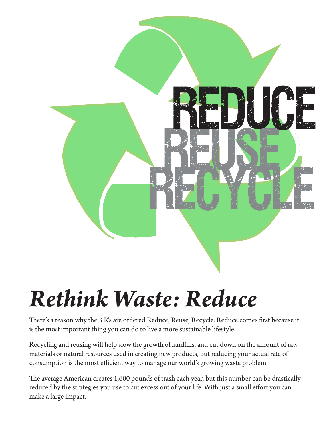

# *Rethink Waste: Reduce*

There's a reason why the 3 R's are ordered Reduce, Reuse, Recycle. Reduce comes first because it is the most important thing you can do to live a more sustainable lifestyle.

Recycling and reusing will help slow the growth of landfills, and cut down on the amount of raw materials or natural resources used in creating new products, but reducing your actual rate of consumption is the most efficient way to manage our world's growing waste problem.

The average American creates 1,600 pounds of trash each year, but this number can be drastically reduced by the strategies you use to cut excess out of your life. With just a small effort you can make a large impact.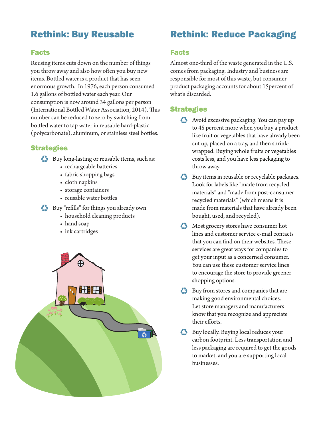# Rethink: Buy Reusable

## Facts

Reusing items cuts down on the number of things you throw away and also how often you buy new items. Bottled water is a product that has seen enormous growth. In 1976, each person consumed 1.6 gallons of bottled water each year. Our consumption is now around 34 gallons per person (International Bottled Water Association, 2014). This number can be reduced to zero by switching from bottled water to tap water in reusable hard-plastic (polycarbonate), aluminum, or stainless steel bottles.

## **Strategies**

- ♻ Buy long-lasting or reusable items, such as:
	- rechargeable batteries
	- fabric shopping bags
	- cloth napkins
	- storage containers
	- reusable water bottles
- ♻ Buy "refills" for things you already own
	- household cleaning products
	- hand soap
	- ink cartridges



# Rethink: Reduce Packaging

#### Facts

Almost one-third of the waste generated in the U.S. comes from packaging. Industry and business are responsible for most of this waste, but consumer product packaging accounts for about 15percent of what's discarded.

## **Strategies**

- Avoid excessive packaging. You can pay up to 45 percent more when you buy a product like fruit or vegetables that have already been cut up, placed on a tray, and then shrinkwrapped. Buying whole fruits or vegetables costs less, and you have less packaging to throw away.
- ♻ Buy items in reusable or recyclable packages. Look for labels like "made from recycled materials" and "made from post-consumer recycled materials" (which means it is made from materials that have already been bought, used, and recycled).
- ♻ Most grocery stores have consumer hot lines and customer service e-mail contacts that you can find on their websites. These services are great ways for companies to get your input as a concerned consumer. You can use these customer service lines to encourage the store to provide greener shopping options.
- ♻ Buy from stores and companies that are making good environmental choices. Let store managers and manufacturers know that you recognize and appreciate their efforts.
- ♻ Buy locally. Buying local reduces your carbon footprint. Less transportation and less packaging are required to get the goods to market, and you are supporting local businesses.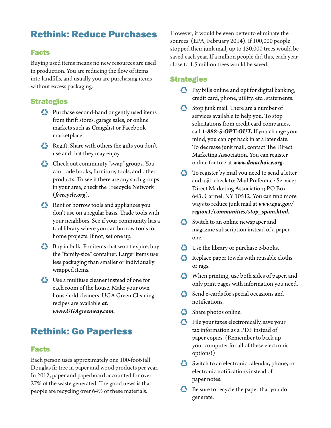## Rethink: Reduce Purchases

#### Facts

Buying used items means no new resources are used in production. You are reducing the flow of items into landfills, and usually you are purchasing items without excess packaging.

#### **Strategies**

- ♻ Purchase second-hand or gently used items from thrift stores, garage sales, or online markets such as Craigslist or Facebook marketplace.
- ♻ Regift. Share with others the gifts you don't use and that they may enjoy.
- ♻ Check out community "swap" groups. You can trade books, furniture, tools, and other products. To see if there are any such groups in your area, check the Freecycle Network (*freecycle.org*).
- ♻ Rent or borrow tools and appliances you don't use on a regular basis. Trade tools with your neighbors. See if your community has a tool library where you can borrow tools for home projects. If not, set one up.
- ♻ Buy in bulk. For items that won't expire, buy the "family-size" container. Larger items use less packaging than smaller or individually wrapped items.
- ♻ Use a multiuse cleaner instead of one for each room of the house. Make your own household cleaners. UGA Green Cleaning recipes are available *at: www.UGAgreenway.com.*

## Rethink: Go Paperless

#### Facts

Each person uses approximately one 100-foot-tall Douglas fir tree in paper and wood products per year. In 2012, paper and paperboard accounted for over 27% of the waste generated. The good news is that people are recycling over 64% of these materials.

However, it would be even better to eliminate the sources (EPA, February 2014). If 100,000 people stopped their junk mail, up to 150,000 trees would be saved each year. If a million people did this, each year close to 1.5 million trees would be saved.

#### **Strategies**

- ♻ Pay bills online and opt for digital banking, credit card, phone, utility, etc., statements.
- Stop junk mail. There are a number of services available to help you. To stop solicitations from credit card companies, call *1-888-5-OPT-OUT.* If you change your mind, you can opt back in at a later date. To decrease junk mail, contact The Direct Marketing Association. You can register online for free at *www.dmachoice.org.*
- ◆ To register by mail you need to send a letter and a \$1 check to: Mail Preference Service; Direct Marketing Association; PO Box 643; Carmel, NY 10512. You can find more ways to reduce junk mail at *www.epa.gov/ region1/communities/stop\_spam.html.*
- Switch to an online newspaper and magazine subscription instead of a paper one.
- ♻ Use the library or purchase e-books.
- $\bullet$  Replace paper towels with reusable cloths or rags.
- ♻ When printing, use both sides of paper, and only print pages with information you need.
- Send e-cards for special occasions and notifications.
- Share photos online.
- $\bullet$  File your taxes electronically, save your tax information as a PDF instead of paper copies. (Remember to back up your computer for all of these electronic options!)
- Switch to an electronic calendar, phone, or electronic notifications instead of paper notes.
- $\bullet$  Be sure to recycle the paper that you do generate.